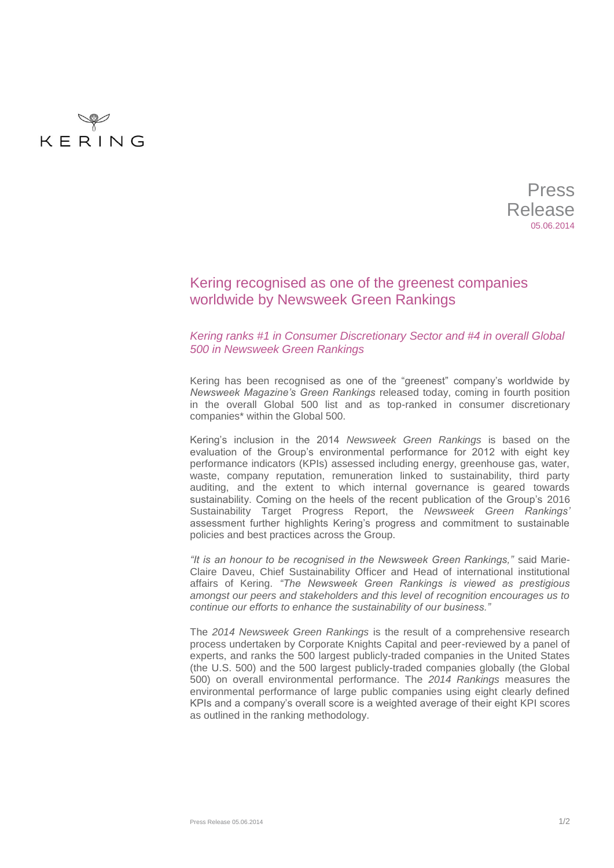

Press Release 05.06.2014

## Kering recognised as one of the greenest companies worldwide by Newsweek Green Rankings

## *Kering ranks #1 in Consumer Discretionary Sector and #4 in overall Global 500 in Newsweek Green Rankings*

Kering has been recognised as one of the "greenest" company's worldwide by *Newsweek Magazine's Green Rankings* released today, coming in fourth position in the overall Global 500 list and as top-ranked in consumer discretionary companies\* within the Global 500.

Kering's inclusion in the 2014 *Newsweek Green Rankings* is based on the evaluation of the Group's environmental performance for 2012 with eight key performance indicators (KPIs) assessed including energy, greenhouse gas, water, waste, company reputation, remuneration linked to sustainability, third party auditing, and the extent to which internal governance is geared towards sustainability. Coming on the heels of the recent publication of the Group's [2016](http://www.kering.com/en/node/8461)  [Sustainability Target Progress Report,](http://www.kering.com/en/node/8461) the *Newsweek Green Rankings'* assessment further highlights Kering's progress and commitment to sustainable policies and best practices across the Group.

*"It is an honour to be recognised in the Newsweek Green Rankings,"* said Marie-Claire Daveu, Chief Sustainability Officer and Head of international institutional affairs of Kering. *"The Newsweek Green Rankings is viewed as prestigious amongst our peers and stakeholders and this level of recognition encourages us to continue our efforts to enhance the sustainability of our business."*

The *2014 Newsweek Green Rankings* is the result of a comprehensive research process undertaken by Corporate Knights Capital and peer-reviewed by a panel of experts, and ranks the 500 largest publicly-traded companies in the United States (the U.S. 500) and the 500 largest publicly-traded companies globally (the Global 500) on overall environmental performance. The *2014 Rankings* measures the environmental performance of large public companies using eight clearly defined KPIs and a company's overall score is a weighted average of their eight KPI scores as outlined in the ranking [methodology.](http://www.newsweek.com/2014-newsweek-green-rankings-243744)